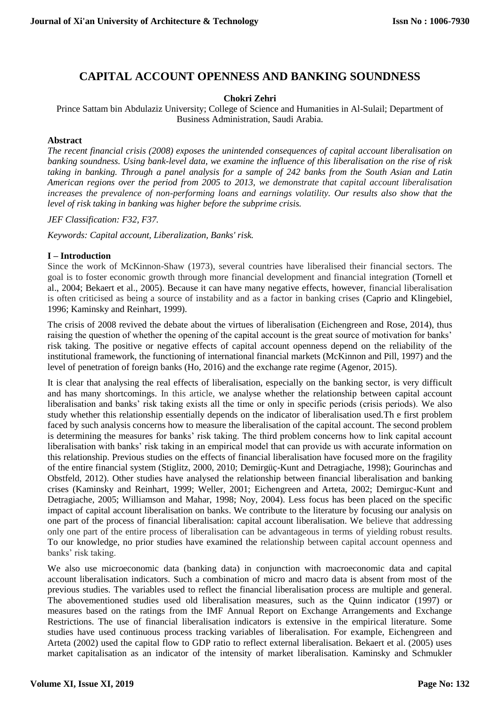# **CAPITAL ACCOUNT OPENNESS AND BANKING SOUNDNESS**

### **Chokri Zehri**

Prince Sattam bin Abdulaziz University; College of Science and Humanities in Al-Sulail; Department of Business Administration, Saudi Arabia.

### **Abstract**

*The recent financial crisis (2008) exposes the unintended consequences of capital account liberalisation on banking soundness. Using bank-level data, we examine the influence of this liberalisation on the rise of risk taking in banking. Through a panel analysis for a sample of 242 banks from the South Asian and Latin American regions over the period from 2005 to 2013, we demonstrate that capital account liberalisation increases the prevalence of non-performing loans and earnings volatility. Our results also show that the level of risk taking in banking was higher before the subprime crisis.* 

*JEF Classification: F32, F37.*

*Keywords: Capital account, Liberalization, Banks' risk.*

## **I – Introduction**

Since the work of McKinnon-Shaw (1973), several countries have liberalised their financial sectors. The goal is to foster economic growth through more financial development and financial integration (Tornell et al., 2004; Bekaert et al., 2005). Because it can have many negative effects, however, financial liberalisation is often criticised as being a source of instability and as a factor in banking crises (Caprio and Klingebiel, 1996; Kaminsky and Reinhart, 1999).

The crisis of 2008 revived the debate about the virtues of liberalisation (Eichengreen and Rose, 2014), thus raising the question of whether the opening of the capital account is the great source of motivation for banks' risk taking. The positive or negative effects of capital account openness depend on the reliability of the institutional framework, the functioning of international financial markets (McKinnon and Pill, 1997) and the level of penetration of foreign banks (Ho, 2016) and the exchange rate regime (Agenor, 2015).

It is clear that analysing the real effects of liberalisation, especially on the banking sector, is very difficult and has many shortcomings. In this article, we analyse whether the relationship between capital account liberalisation and banks' risk taking exists all the time or only in specific periods (crisis periods). We also study whether this relationship essentially depends on the indicator of liberalisation used.Th e first problem faced by such analysis concerns how to measure the liberalisation of the capital account. The second problem is determining the measures for banks' risk taking. The third problem concerns how to link capital account liberalisation with banks' risk taking in an empirical model that can provide us with accurate information on this relationship. Previous studies on the effects of financial liberalisation have focused more on the fragility of the entire financial system (Stiglitz, 2000, 2010; Demirgüç-Kunt and Detragiache, 1998); Gourinchas and Obstfeld, 2012). Other studies have analysed the relationship between financial liberalisation and banking crises (Kaminsky and Reinhart, 1999; Weller, 2001; Eichengreen and Arteta, 2002; Demirguc-Kunt and Detragiache, 2005; Williamson and Mahar, 1998; Noy, 2004). Less focus has been placed on the specific impact of capital account liberalisation on banks. We contribute to the literature by focusing our analysis on one part of the process of financial liberalisation: capital account liberalisation. We believe that addressing only one part of the entire process of liberalisation can be advantageous in terms of yielding robust results. To our knowledge, no prior studies have examined the relationship between capital account openness and banks' risk taking.

We also use microeconomic data (banking data) in conjunction with macroeconomic data and capital account liberalisation indicators. Such a combination of micro and macro data is absent from most of the previous studies. The variables used to reflect the financial liberalisation process are multiple and general. The abovementioned studies used old liberalisation measures, such as the Quinn indicator (1997) or measures based on the ratings from the IMF Annual Report on Exchange Arrangements and Exchange Restrictions. The use of financial liberalisation indicators is extensive in the empirical literature. Some studies have used continuous process tracking variables of liberalisation. For example, Eichengreen and Arteta (2002) used the capital flow to GDP ratio to reflect external liberalisation. Bekaert et al. (2005) uses market capitalisation as an indicator of the intensity of market liberalisation. Kaminsky and Schmukler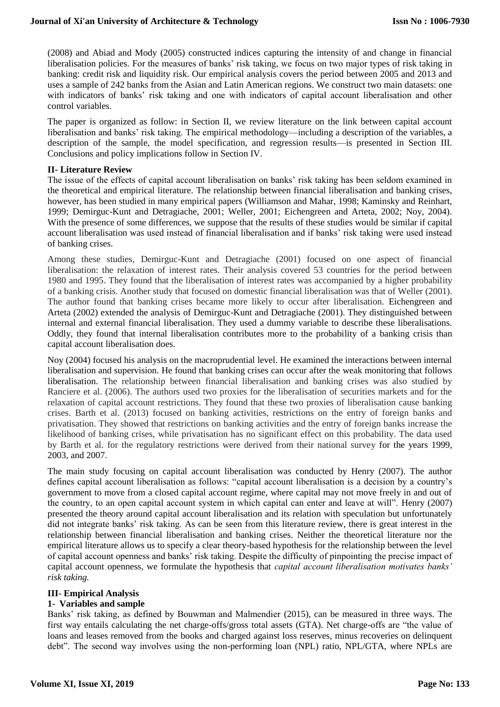(2008) and Abiad and Mody (2005) constructed indices capturing the intensity of and change in financial liberalisation policies. For the measures of banks' risk taking, we focus on two major types of risk taking in banking: credit risk and liquidity risk. Our empirical analysis covers the period between 2005 and 2013 and uses a sample of 242 banks from the Asian and Latin American regions. We construct two main datasets: one with indicators of banks' risk taking and one with indicators of capital account liberalisation and other control variables.

The paper is organized as follow: in Section II, we review literature on the link between capital account liberalisation and banks' risk taking. The empirical methodology—including a description of the variables, a description of the sample, the model specification, and regression results—is presented in Section III. Conclusions and policy implications follow in Section IV.

#### **II- Literature Review**

The issue of the effects of capital account liberalisation on banks' risk taking has been seldom examined in the theoretical and empirical literature. The relationship between financial liberalisation and banking crises, however, has been studied in many empirical papers (Williamson and Mahar, 1998; Kaminsky and Reinhart, 1999; Demirguc-Kunt and Detragiache, 2001; Weller, 2001; Eichengreen and Arteta, 2002; Noy, 2004). With the presence of some differences, we suppose that the results of these studies would be similar if capital account liberalisation was used instead of financial liberalisation and if banks' risk taking were used instead of banking crises.

Among these studies, Demirguc-Kunt and Detragiache (2001) focused on one aspect of financial liberalisation: the relaxation of interest rates. Their analysis covered 53 countries for the period between 1980 and 1995. They found that the liberalisation of interest rates was accompanied by a higher probability of a banking crisis. Another study that focused on domestic financial liberalisation was that of Weller (2001). The author found that banking crises became more likely to occur after liberalisation. Eichengreen and Arteta (2002) extended the analysis of Demirguc-Kunt and Detragiache (2001). They distinguished between internal and external financial liberalisation. They used a dummy variable to describe these liberalisations. Oddly, they found that internal liberalisation contributes more to the probability of a banking crisis than capital account liberalisation does.

Noy (2004) focused his analysis on the macroprudential level. He examined the interactions between internal liberalisation and supervision. He found that banking crises can occur after the weak monitoring that follows liberalisation. The relationship between financial liberalisation and banking crises was also studied by Ranciere et al. (2006). The authors used two proxies for the liberalisation of securities markets and for the relaxation of capital account restrictions. They found that these two proxies of liberalisation cause banking crises. Barth et al. (2013) focused on banking activities, restrictions on the entry of foreign banks and privatisation. They showed that restrictions on banking activities and the entry of foreign banks increase the likelihood of banking crises, while privatisation has no significant effect on this probability. The data used by Barth et al. for the regulatory restrictions were derived from their national survey for the years 1999, 2003, and 2007.

The main study focusing on capital account liberalisation was conducted by Henry (2007). The author defines capital account liberalisation as follows: "capital account liberalisation is a decision by a country's government to move from a closed capital account regime, where capital may not move freely in and out of the country, to an open capital account system in which capital can enter and leave at will". Henry (2007) presented the theory around capital account liberalisation and its relation with speculation but unfortunately did not integrate banks' risk taking. As can be seen from this literature review, there is great interest in the relationship between financial liberalisation and banking crises. Neither the theoretical literature nor the empirical literature allows us to specify a clear theory-based hypothesis for the relationship between the level of capital account openness and banks' risk taking. Despite the difficulty of pinpointing the precise impact of capital account openness, we formulate the hypothesis that *capital account liberalisation motivates banks' risk taking.*

#### **III- Empirical Analysis**

#### **1- Variables and sample**

Banks' risk taking, as defined by Bouwman and Malmendier (2015), can be measured in three ways. The first way entails calculating the net charge-offs/gross total assets (GTA). Net charge-offs are "the value of loans and leases removed from the books and charged against loss reserves, minus recoveries on delinquent debt". The second way involves using the non-performing loan (NPL) ratio, NPL/GTA, where NPLs are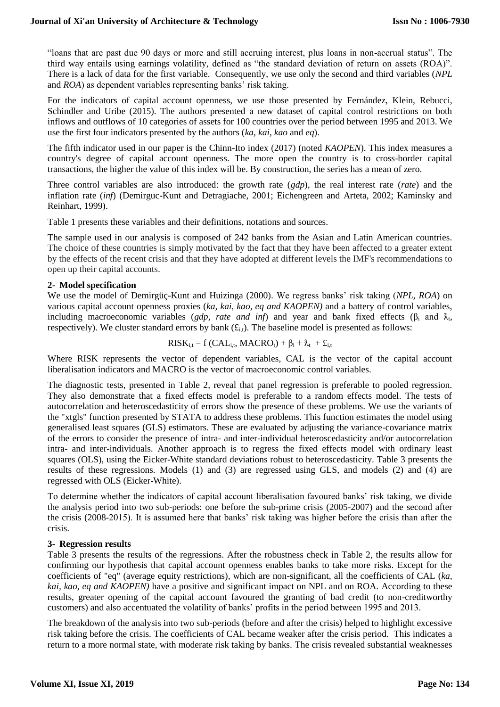"loans that are past due 90 days or more and still accruing interest, plus loans in non-accrual status". The third way entails using earnings volatility, defined as "the standard deviation of return on assets (ROA)". There is a lack of data for the first variable. Consequently, we use only the second and third variables (*NPL* and *ROA*) as dependent variables representing banks' risk taking.

For the indicators of capital account openness, we use those presented by Fernández, Klein, Rebucci, Schindler and Uribe (2015). The authors presented a new dataset of capital control restrictions on both inflows and outflows of 10 categories of assets for 100 countries over the period between 1995 and 2013. We use the first four indicators presented by the authors (*ka, kai, kao* and *eq*).

The fifth indicator used in our paper is the Chinn-Ito index (2017) (noted *KAOPEN*). This index measures a country's degree of capital account openness. The more open the country is to cross-border capital transactions, the higher the value of this index will be. By construction, the series has a mean of zero.

Three control variables are also introduced: the growth rate (*gdp*), the real interest rate (*rate*) and the inflation rate (*inf*) (Demirguc-Kunt and Detragiache, 2001; Eichengreen and Arteta, 2002; Kaminsky and Reinhart, 1999).

Table 1 presents these variables and their definitions, notations and sources.

The sample used in our analysis is composed of 242 banks from the Asian and Latin American countries. The choice of these countries is simply motivated by the fact that they have been affected to a greater extent by the effects of the recent crisis and that they have adopted at different levels the IMF's recommendations to open up their capital accounts.

#### **2- Model specification**

We use the model of Demirgüç-Kunt and Huizinga (2000). We regress banks' risk taking (*NPL, ROA*) on various capital account openness proxies (*ka, kai, kao, eq and KAOPEN)* and a battery of control variables, including macroeconomic variables (*gdp, rate and inf*) and year and bank fixed effects ( $\beta_i$  and  $\lambda_t$ , respectively). We cluster standard errors by bank  $(f_{i,t})$ . The baseline model is presented as follows:

$$
RISK_{i,t} = f (CAL_{i,t}, MACRO_t) + \beta_i + \lambda_t + \pounds_{i,t}
$$

Where RISK represents the vector of dependent variables, CAL is the vector of the capital account liberalisation indicators and MACRO is the vector of macroeconomic control variables.

The diagnostic tests, presented in Table 2, reveal that panel regression is preferable to pooled regression. They also demonstrate that a fixed effects model is preferable to a random effects model. The tests of autocorrelation and heteroscedasticity of errors show the presence of these problems. We use the variants of the "xtgls" function presented by STATA to address these problems. This function estimates the model using generalised least squares (GLS) estimators. These are evaluated by adjusting the variance-covariance matrix of the errors to consider the presence of intra- and inter-individual heteroscedasticity and/or autocorrelation intra- and inter-individuals. Another approach is to regress the fixed effects model with ordinary least squares (OLS), using the Eicker-White standard deviations robust to heteroscedasticity. Table 3 presents the results of these regressions. Models (1) and (3) are regressed using GLS, and models (2) and (4) are regressed with OLS (Eicker-White).

To determine whether the indicators of capital account liberalisation favoured banks' risk taking, we divide the analysis period into two sub-periods: one before the sub-prime crisis (2005-2007) and the second after the crisis (2008-2015). It is assumed here that banks' risk taking was higher before the crisis than after the crisis.

#### **3- Regression results**

Table 3 presents the results of the regressions. After the robustness check in Table 2, the results allow for confirming our hypothesis that capital account openness enables banks to take more risks. Except for the coefficients of "eq" (average equity restrictions), which are non-significant, all the coefficients of CAL (*ka, kai, kao, eq and KAOPEN)* have a positive and significant impact on NPL and on ROA. According to these results, greater opening of the capital account favoured the granting of bad credit (to non-creditworthy customers) and also accentuated the volatility of banks' profits in the period between 1995 and 2013.

The breakdown of the analysis into two sub-periods (before and after the crisis) helped to highlight excessive risk taking before the crisis. The coefficients of CAL became weaker after the crisis period. This indicates a return to a more normal state, with moderate risk taking by banks. The crisis revealed substantial weaknesses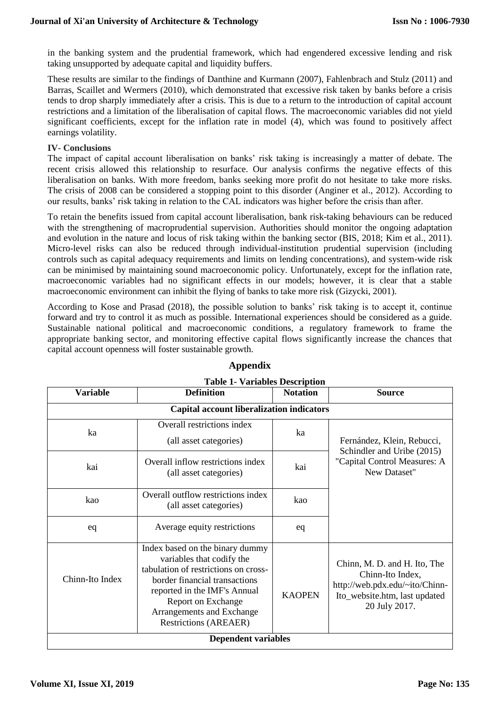in the banking system and the prudential framework, which had engendered excessive lending and risk taking unsupported by adequate capital and liquidity buffers.

These results are similar to the findings of Danthine and Kurmann (2007), Fahlenbrach and Stulz (2011) and Barras, Scaillet and Wermers (2010), which demonstrated that excessive risk taken by banks before a crisis tends to drop sharply immediately after a crisis. This is due to a return to the introduction of capital account restrictions and a limitation of the liberalisation of capital flows. The macroeconomic variables did not yield significant coefficients, except for the inflation rate in model (4), which was found to positively affect earnings volatility.

### **IV- Conclusions**

The impact of capital account liberalisation on banks' risk taking is increasingly a matter of debate. The recent crisis allowed this relationship to resurface. Our analysis confirms the negative effects of this liberalisation on banks. With more freedom, banks seeking more profit do not hesitate to take more risks. The crisis of 2008 can be considered a stopping point to this disorder (Anginer et al., 2012). According to our results, banks' risk taking in relation to the CAL indicators was higher before the crisis than after.

To retain the benefits issued from capital account liberalisation, bank risk-taking behaviours can be reduced with the strengthening of macroprudential supervision. Authorities should monitor the ongoing adaptation and evolution in the nature and locus of risk taking within the banking sector (BIS, 2018; Kim et al., 2011). Micro-level risks can also be reduced through individual-institution prudential supervision (including controls such as capital adequacy requirements and limits on lending concentrations), and system-wide risk can be minimised by maintaining sound macroeconomic policy. Unfortunately, except for the inflation rate, macroeconomic variables had no significant effects in our models; however, it is clear that a stable macroeconomic environment can inhibit the flying of banks to take more risk (Gizycki, 2001).

According to Kose and Prasad (2018), the possible solution to banks' risk taking is to accept it, continue forward and try to control it as much as possible. International experiences should be considered as a guide. Sustainable national political and macroeconomic conditions, a regulatory framework to frame the appropriate banking sector, and monitoring effective capital flows significantly increase the chances that capital account openness will foster sustainable growth.

| Table 1- Variables Description            |                                                                                                                                                                                                                                                          |                 |                                                                                                                                      |  |
|-------------------------------------------|----------------------------------------------------------------------------------------------------------------------------------------------------------------------------------------------------------------------------------------------------------|-----------------|--------------------------------------------------------------------------------------------------------------------------------------|--|
| <b>Variable</b>                           | <b>Definition</b>                                                                                                                                                                                                                                        | <b>Notation</b> | <b>Source</b>                                                                                                                        |  |
| Capital account liberalization indicators |                                                                                                                                                                                                                                                          |                 |                                                                                                                                      |  |
| ka                                        | Overall restrictions index<br>(all asset categories)                                                                                                                                                                                                     | ka              | Fernández, Klein, Rebucci,<br>Schindler and Uribe (2015)<br>"Capital Control Measures: A<br>New Dataset"                             |  |
| kai                                       | Overall inflow restrictions index<br>(all asset categories)                                                                                                                                                                                              | kai             |                                                                                                                                      |  |
| kao                                       | Overall outflow restrictions index<br>(all asset categories)                                                                                                                                                                                             | kao             |                                                                                                                                      |  |
| eq                                        | Average equity restrictions                                                                                                                                                                                                                              | eq              |                                                                                                                                      |  |
| Chinn-Ito Index                           | Index based on the binary dummy<br>variables that codify the<br>tabulation of restrictions on cross-<br>border financial transactions<br>reported in the IMF's Annual<br>Report on Exchange<br>Arrangements and Exchange<br><b>Restrictions (AREAER)</b> | <b>KAOPEN</b>   | Chinn, M. D. and H. Ito, The<br>Chinn-Ito Index,<br>http://web.pdx.edu/~ito/Chinn-<br>Ito_website.htm, last updated<br>20 July 2017. |  |
| <b>Dependent variables</b>                |                                                                                                                                                                                                                                                          |                 |                                                                                                                                      |  |

## **Appendix**

**Table 1- Variables Description**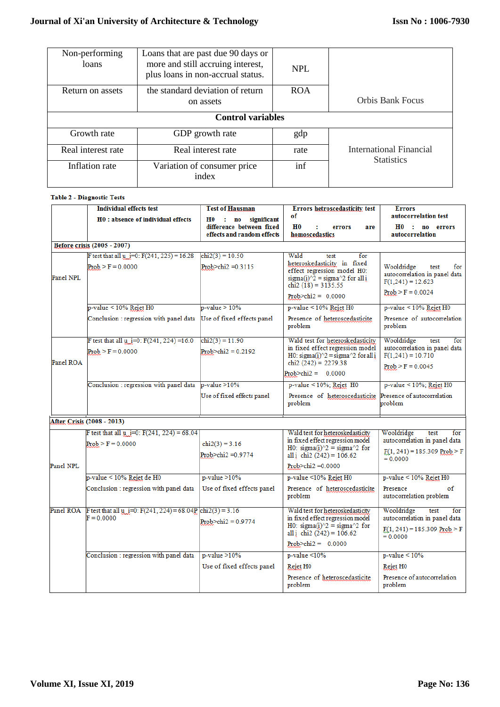| Non-performing<br>loans  | Loans that are past due 90 days or<br>more and still accruing interest,<br>plus loans in non-accrual status. | NPL        |                                              |  |
|--------------------------|--------------------------------------------------------------------------------------------------------------|------------|----------------------------------------------|--|
| Return on assets         | the standard deviation of return<br>on assets                                                                | <b>ROA</b> | Orbis Bank Focus                             |  |
| <b>Control variables</b> |                                                                                                              |            |                                              |  |
| Growth rate              | GDP growth rate                                                                                              | gdp        |                                              |  |
| Real interest rate       | Real interest rate                                                                                           | rate       | International Financial<br><b>Statistics</b> |  |
| Inflation rate           | Variation of consumer price<br>index                                                                         | inf        |                                              |  |

#### Table 2 - Diagnostic Tests

|           | <b>Individual effects test</b>                                                           | <b>Test of Hausman</b>                                 | Errors hetroscedasticity test                                                                                                                                                                       | <b>Errors</b>                                                                                              |
|-----------|------------------------------------------------------------------------------------------|--------------------------------------------------------|-----------------------------------------------------------------------------------------------------------------------------------------------------------------------------------------------------|------------------------------------------------------------------------------------------------------------|
|           | H0 : absence of individual effects                                                       | H0 : no significant                                    | of                                                                                                                                                                                                  | autocorrelation test                                                                                       |
|           |                                                                                          | difference between fixed<br>effects and random effects | H <sub>0</sub><br>errors<br>are<br>homoscedastics                                                                                                                                                   | HO: no errors<br>autocorrelation                                                                           |
|           | Before crisis (2005 - 2007)                                                              |                                                        |                                                                                                                                                                                                     |                                                                                                            |
| Panel NPL | F test that all u i=0: $F(241, 225) = 16.28$<br>$Prob > F = 0.0000$                      | $chi2(3) = 10.50$<br>Prob $>$ chi2 = 0.3115            | Wald<br>for<br>test<br>heteroskedasticity in fixed<br>effect regression model H0:<br>sigma(i) $\frac{1}{2}$ = sigma $\frac{1}{2}$ for all i<br>chi2 $(\tilde{18})$ = 3135.55                        | Wooldridge<br>test<br>for<br>autocorrelation in panel data<br>$F(1,241) = 12.623$                          |
|           |                                                                                          |                                                        | Prob $\ge$ chi2 = 0.0000                                                                                                                                                                            | $Prob > F = 0.0024$                                                                                        |
|           | $p$ -value < 10% Rejet H0                                                                | $p-value > 10%$                                        | p-value < 10% Rejet H0                                                                                                                                                                              | $p$ -value < 10% Rejet H0                                                                                  |
|           | Conclusion : regression with panel data                                                  | Use of fixed effects panel                             | Presence of heteroscedasticite<br>problem                                                                                                                                                           | Presence of autocorrelation<br>problem                                                                     |
|           | F test that all $\mu$ i=0: F(241, 224) =16.0                                             | $chi2(3) = 11.90$                                      | Wald test for heteroskedasticity                                                                                                                                                                    | Wooldridge<br>test<br>$f_{or}$                                                                             |
| Panel ROA | $Prob > F = 0.0000$                                                                      | Prob $\ge$ chi $2 = 0.2192$                            | in fixed effect regression model<br>H0: sigma(i) $\frac{1}{2}$ = sigma $\frac{1}{2}$ for all i<br>chi2 $(242) = 2279.38$                                                                            | autocorrelation in panel data<br>$F(1,241) = 10.710$                                                       |
|           |                                                                                          |                                                        | Prob $\ge$ chi2 = 0.0000                                                                                                                                                                            | $Prob > F = 0.0045$                                                                                        |
|           | Conclusion : regression with panel data p-value >10%                                     |                                                        | $p-value < 10\%$ ; Rejet H0                                                                                                                                                                         | $p$ -value < 10%; Rejet H0                                                                                 |
|           |                                                                                          | Use of fixed effects panel                             | Presence of heteroscedasticite<br>problem                                                                                                                                                           | Presence of autocorrelation<br>problem                                                                     |
|           | <b>After Crisis (2008 - 2013)</b>                                                        |                                                        |                                                                                                                                                                                                     |                                                                                                            |
| Panel NPL | F test that all $\mu$ i=0: F(241, 224) = 68.04<br>$Prob > F = 0.0000$                    | $chi2(3) = 3.16$<br>Prob>chi2 =0.9774                  | Wald test for heteroskedasticity<br>in fixed effect regression model<br>H0: sigma(i) $\textdegree 2 = \text{sigma} \textdegree 2$ for<br>all i chi2 $(242) = 106.62$<br>Prob $\ge$ chi $2 = 0.0000$ | Wooldridge<br>for<br>test<br>autocorrelation in panel data<br>$F(1, 241) = 185.309$ Prob > F<br>$= 0.0000$ |
|           | p-value < 10% Rejet de H0                                                                | $p-value > 10%$                                        | p-value <10% Rejet H0                                                                                                                                                                               | $p$ -value < 10% Rejet H0                                                                                  |
|           | Conclusion : regression with panel data                                                  | Use of fixed effects panel                             | Presence of heteroscedasticite<br>problem                                                                                                                                                           | Presence<br>of<br>autocorrelation problem                                                                  |
|           | Panel ROA F test that all $\mu$ i=0: F(241, 224) = 68.04P chi2(3) = 3.16<br>$F = 0.0000$ | Prob>chi2 = $0.9774$                                   | Wald test for heteroskedasticity<br>in fixed effect regression model<br>H0: sigma(i) $\textdegree$ 2 = sigma $\textdegree$ 2 for<br>all <i>i</i> chi2 $(242) = 106.62$<br>Prob>chi $2 = 0.0000$     | Wooldridge<br>for<br>test<br>autocorrelation in panel data<br>$F(1, 241) = 185.309$ Prob > F<br>$= 0.0000$ |
|           | Conclusion : regression with panel data                                                  | $p-value > 10%$                                        | $p$ -value < $10%$                                                                                                                                                                                  | $p-value < 10%$                                                                                            |
|           |                                                                                          | Use of fixed effects panel                             | Rejet H <sub>0</sub>                                                                                                                                                                                | Rejet H0                                                                                                   |
|           |                                                                                          |                                                        | Presence of heteroscedasticite<br>problem                                                                                                                                                           | Presence of autocorrelation<br>problem                                                                     |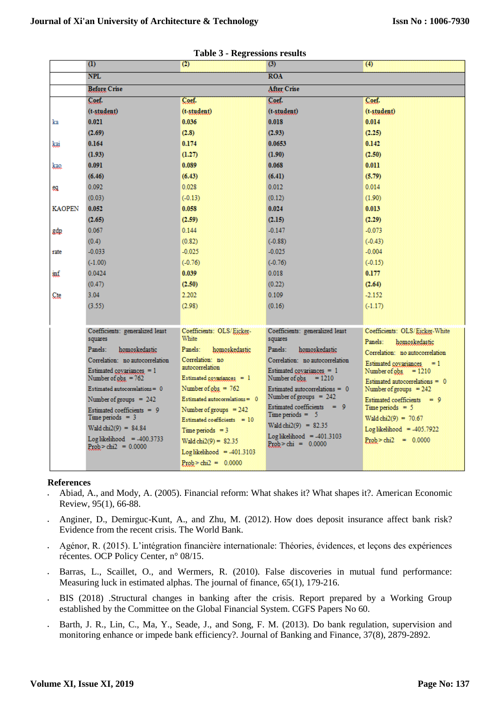|               | $\overline{(\mathbf{1})}$                                   | o<br>$\omega$                      | (3)                                                   | $\omega$                                                     |
|---------------|-------------------------------------------------------------|------------------------------------|-------------------------------------------------------|--------------------------------------------------------------|
|               | <b>NPL</b>                                                  |                                    | <b>ROA</b>                                            |                                                              |
|               | <b>Before Crise</b>                                         |                                    | <b>After Crise</b>                                    |                                                              |
|               | Coef.                                                       | Coef.                              | Coef.                                                 | Coef.                                                        |
|               | (t-student)                                                 | $(t - student)$                    | (t-student)                                           | $(t - student)$                                              |
| ka            | 0.021                                                       | 0.036                              | 0.018                                                 | 0.014                                                        |
|               | (2.69)                                                      | (2.8)                              | (2.93)                                                | (2.25)                                                       |
| kai           | 0.164                                                       | 0.174                              | 0.0653                                                | 0.142                                                        |
|               | (1.93)                                                      | (1.27)                             | (1.90)                                                | (2.50)                                                       |
| kao.          | 0.091                                                       | 0.089                              | 0.068                                                 | 0.011                                                        |
|               | (6.46)                                                      | (6.43)                             | (6.41)                                                | (5.79)                                                       |
| eg.           | 0.092                                                       | 0.028                              | 0.012                                                 | 0014                                                         |
|               | (0.03)                                                      | (.0.13)                            | (0.12)                                                | (1.90)                                                       |
| <b>KAOPEN</b> | 0.052                                                       | 0.058                              | 0.024                                                 | 0.013                                                        |
|               | (2.65)                                                      | (2.59)                             | (2.15)                                                | (2.29)                                                       |
| gdp           | 0.067                                                       | 0.144                              | $-0.147$                                              | $-0.073$                                                     |
|               | (0.4)                                                       | (0.82)                             | $(-0.88)$                                             | (.0.43)                                                      |
| rate          | $-0.033$                                                    | $-0.025$                           | $-0.025$                                              | $-0.004$                                                     |
|               | $(-1.00)$                                                   | (0.76)                             | $(-0.76)$                                             | (.0.15)                                                      |
| inf           | 0.0424                                                      | 0.039                              | 0.018                                                 | 0.177                                                        |
|               | (0.47)                                                      | (2.50)                             | (0.22)                                                | (2.64)                                                       |
| Cte           | 3.04                                                        | 2.202                              | 0.109                                                 | $-2.152$                                                     |
|               | (3.55)                                                      | (2.98)                             | (0.16)                                                | (117)                                                        |
|               |                                                             |                                    |                                                       |                                                              |
|               | Coefficients: generalized least                             | Coefficients: OLS/Eicker-          | Coefficients: generalized least                       | Coefficients: OLS/Eicker-White                               |
|               | squares                                                     | White                              | squares                                               | Panels<br>homoskedastic                                      |
|               | Panels:<br>homoskedastic                                    | Panels:<br>homoskedastic           | Panels:<br>homoskedastic                              | Correlation: no autocorrelation                              |
|               | Correlation: no autocorrelation                             | Correlation: no<br>autocorrelation | Correlation: no autocorrelation                       | Estimated covariances $= 1$                                  |
|               | Estimated covariances $= 1$<br>Number of $_{\rm obs}$ = 762 | Estimated goyanances $= 1$         | Estimated covariances $= 1$<br>Number of $obs = 1210$ | Number of obs<br>$+1210$<br>Estimated autocorrelations $= 0$ |
|               | Estimated autocorrelations = $0$                            | Number of $obs = 762$              | Estimated autocorrelations = $0$                      | Number of groups $= 242$                                     |
|               | Number of groups $= 242$                                    | $Estimated$ autocorrelations $= 0$ | Number of groups $= 242$                              | Estimated coefficients $= 9$                                 |
|               | Estimated coefficients $= 9$                                | Number of groups $= 242$           | Estimated coefficients $= 9$<br>$Time periods = 5$    | $Time$ periods = 5                                           |
|               | Time periods $= 3$                                          | Estimated coefficients $= 10$      | Wald chi2(9) = $82.35$                                | $Wald chi2(9) = 70.67$                                       |
|               | Wald chi $2(9) = 84.84$                                     | $Time$ periods = $3$               | $Log likelihood = -401.3103$                          | $Log likelihood = -405.7922$                                 |
|               | $Log likelihood = -400.3733$<br>$Prob > chi2 = 0.0000$      | $Wald chi2(9) = 82.35$             | $Prob > chi = 0.0000$                                 | $Prob > chi2 = 0.0000$                                       |
|               |                                                             | $Log likelihood = .401.3103$       |                                                       |                                                              |
|               |                                                             | $Prob > ch12 = 0.0000$             |                                                       |                                                              |

|  | <b>Table 3 - Regressions results</b> |  |
|--|--------------------------------------|--|
|--|--------------------------------------|--|

#### **References**

- Abiad, A., and Mody, A. (2005). Financial reform: What shakes it? What shapes it?. American Economic Review, 95(1), 66-88.
- Anginer, D., Demirguc-Kunt, A., and Zhu, M. (2012). How does deposit insurance affect bank risk? Evidence from the recent crisis. The World Bank.
- Agénor, R. (2015). L'intégration financière internationale: Théories, évidences, et leçons des expériences récentes. OCP Policy Center, n° 08/15.
- Barras, L., Scaillet, O., and Wermers, R. (2010). False discoveries in mutual fund performance: Measuring luck in estimated alphas. The journal of finance, 65(1), 179-216.
- BIS (2018) .Structural changes in banking after the crisis. Report prepared by a Working Group established by the Committee on the Global Financial System. CGFS Papers No 60.
- Barth, J. R., Lin, C., Ma, Y., Seade, J., and Song, F. M. (2013). Do bank regulation, supervision and monitoring enhance or impede bank efficiency?. Journal of Banking and Finance, 37(8), 2879-2892.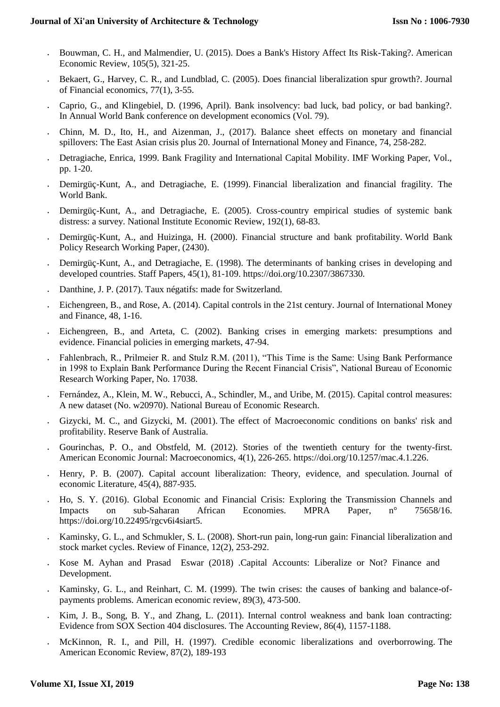- Bouwman, C. H., and Malmendier, U. (2015). Does a Bank's History Affect Its Risk-Taking?. American Economic Review, 105(5), 321-25.
- Bekaert, G., Harvey, C. R., and Lundblad, C. (2005). Does financial liberalization spur growth?. Journal of Financial economics, 77(1), 3-55.
- Caprio, G., and Klingebiel, D. (1996, April). Bank insolvency: bad luck, bad policy, or bad banking?. In Annual World Bank conference on development economics (Vol. 79).
- Chinn, M. D., Ito, H., and Aizenman, J., (2017). Balance sheet effects on monetary and financial spillovers: The East Asian crisis plus 20. Journal of International Money and Finance, 74, 258-282.
- Detragiache, Enrica, 1999. Bank Fragility and International Capital Mobility. IMF Working Paper, Vol., pp. 1-20.
- Demirgüç-Kunt, A., and Detragiache, E. (1999). Financial liberalization and financial fragility. The World Bank.
- Demirgüç-Kunt, A., and Detragiache, E. (2005). Cross-country empirical studies of systemic bank distress: a survey. National Institute Economic Review, 192(1), 68-83.
- Demirgüç-Kunt, A., and Huizinga, H. (2000). Financial structure and bank profitability. World Bank Policy Research Working Paper, (2430).
- Demirgüç-Kunt, A., and Detragiache, E. (1998). The determinants of banking crises in developing and developed countries. Staff Papers, 45(1), 81-109. https://doi.org/10.2307/3867330.
- Danthine, J. P. (2017). Taux négatifs: made for Switzerland.
- Eichengreen, B., and Rose, A. (2014). Capital controls in the 21st century. Journal of International Money and Finance, 48, 1-16.
- Eichengreen, B., and Arteta, C. (2002). Banking crises in emerging markets: presumptions and evidence. Financial policies in emerging markets, 47-94.
- Fahlenbrach, R., Prilmeier R. and Stulz R.M. (2011), "This Time is the Same: Using Bank Performance in 1998 to Explain Bank Performance During the Recent Financial Crisis", National Bureau of Economic Research Working Paper, No. 17038.
- Fernández, A., Klein, M. W., Rebucci, A., Schindler, M., and Uribe, M. (2015). Capital control measures: A new dataset (No. w20970). National Bureau of Economic Research.
- Gizycki, M. C., and Gizycki, M. (2001). The effect of Macroeconomic conditions on banks' risk and profitability. Reserve Bank of Australia.
- Gourinchas, P. O., and Obstfeld, M. (2012). Stories of the twentieth century for the twenty-first. American Economic Journal: Macroeconomics, 4(1), 226-265. https://doi.org/10.1257/mac.4.1.226.
- Henry, P. B. (2007). Capital account liberalization: Theory, evidence, and speculation. Journal of economic Literature, 45(4), 887-935.
- Ho, S. Y. (2016). Global Economic and Financial Crisis: Exploring the Transmission Channels and Impacts on sub-Saharan African Economies. MPRA Paper, n° 75658/16. https://doi.org/10.22495/rgcv6i4siart5.
- Kaminsky, G. L., and Schmukler, S. L. (2008). Short-run pain, long-run gain: Financial liberalization and stock market cycles. Review of Finance, 12(2), 253-292.
- Kose [M. Ayhan and Prasad](https://www.imf.org/external/pubs/ft/fandd/basics/capital.htm#author) Eswar (2018) .Capital Accounts: Liberalize or Not? Finance and Development.
- Kaminsky, G. L., and Reinhart, C. M. (1999). The twin crises: the causes of banking and balance-ofpayments problems. American economic review, 89(3), 473-500.
- Kim, J. B., Song, B. Y., and Zhang, L. (2011). Internal control weakness and bank loan contracting: Evidence from SOX Section 404 disclosures. The Accounting Review, 86(4), 1157-1188.
- McKinnon, R. I., and Pill, H. (1997). Credible economic liberalizations and overborrowing. The American Economic Review, 87(2), 189-193